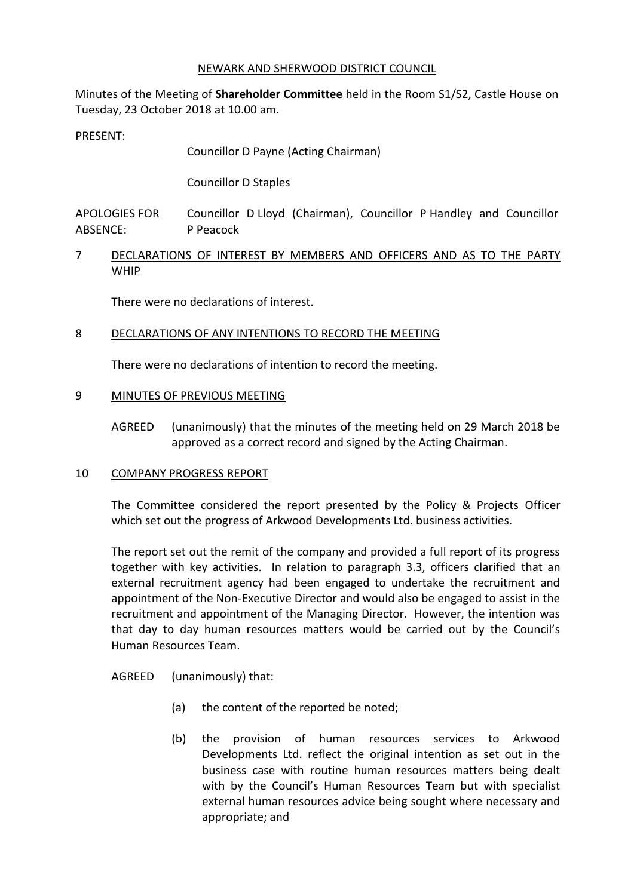#### NEWARK AND SHERWOOD DISTRICT COUNCIL

Minutes of the Meeting of **Shareholder Committee** held in the Room S1/S2, Castle House on Tuesday, 23 October 2018 at 10.00 am.

PRESENT:

Councillor D Payne (Acting Chairman)

Councillor D Staples

APOLOGIES FOR ABSENCE: Councillor D Lloyd (Chairman), Councillor P Handley and Councillor P Peacock

7 DECLARATIONS OF INTEREST BY MEMBERS AND OFFICERS AND AS TO THE PARTY WHIP

There were no declarations of interest.

### 8 DECLARATIONS OF ANY INTENTIONS TO RECORD THE MEETING

There were no declarations of intention to record the meeting.

### 9 MINUTES OF PREVIOUS MEETING

AGREED (unanimously) that the minutes of the meeting held on 29 March 2018 be approved as a correct record and signed by the Acting Chairman.

### 10 COMPANY PROGRESS REPORT

The Committee considered the report presented by the Policy & Projects Officer which set out the progress of Arkwood Developments Ltd. business activities.

The report set out the remit of the company and provided a full report of its progress together with key activities. In relation to paragraph 3.3, officers clarified that an external recruitment agency had been engaged to undertake the recruitment and appointment of the Non-Executive Director and would also be engaged to assist in the recruitment and appointment of the Managing Director. However, the intention was that day to day human resources matters would be carried out by the Council's Human Resources Team.

AGREED (unanimously) that:

- (a) the content of the reported be noted;
- (b) the provision of human resources services to Arkwood Developments Ltd. reflect the original intention as set out in the business case with routine human resources matters being dealt with by the Council's Human Resources Team but with specialist external human resources advice being sought where necessary and appropriate; and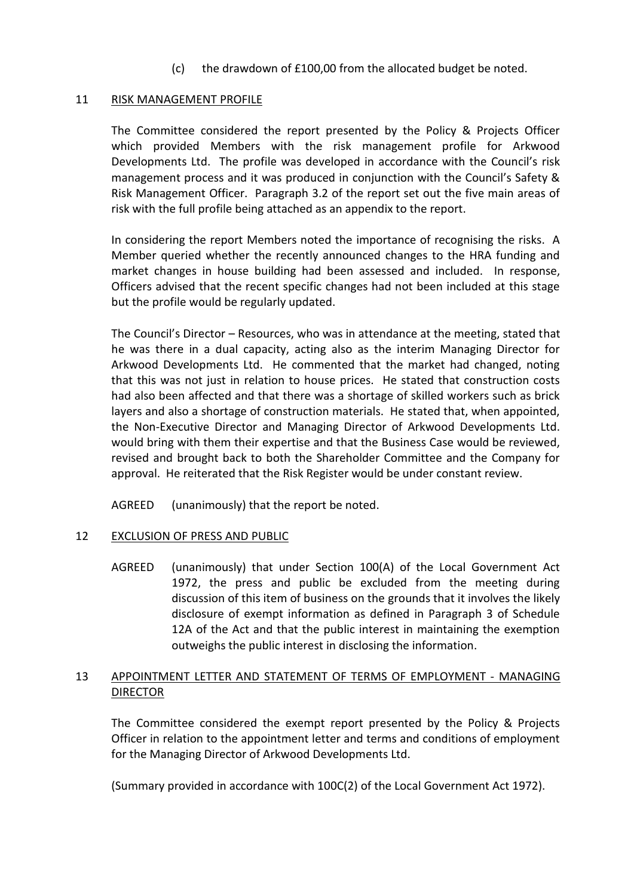(c) the drawdown of £100,00 from the allocated budget be noted.

## 11 RISK MANAGEMENT PROFILE

The Committee considered the report presented by the Policy & Projects Officer which provided Members with the risk management profile for Arkwood Developments Ltd. The profile was developed in accordance with the Council's risk management process and it was produced in conjunction with the Council's Safety & Risk Management Officer. Paragraph 3.2 of the report set out the five main areas of risk with the full profile being attached as an appendix to the report.

In considering the report Members noted the importance of recognising the risks. A Member queried whether the recently announced changes to the HRA funding and market changes in house building had been assessed and included. In response, Officers advised that the recent specific changes had not been included at this stage but the profile would be regularly updated.

The Council's Director – Resources, who was in attendance at the meeting, stated that he was there in a dual capacity, acting also as the interim Managing Director for Arkwood Developments Ltd. He commented that the market had changed, noting that this was not just in relation to house prices. He stated that construction costs had also been affected and that there was a shortage of skilled workers such as brick layers and also a shortage of construction materials. He stated that, when appointed, the Non-Executive Director and Managing Director of Arkwood Developments Ltd. would bring with them their expertise and that the Business Case would be reviewed, revised and brought back to both the Shareholder Committee and the Company for approval. He reiterated that the Risk Register would be under constant review.

AGREED (unanimously) that the report be noted.

### 12 EXCLUSION OF PRESS AND PUBLIC

AGREED (unanimously) that under Section 100(A) of the Local Government Act 1972, the press and public be excluded from the meeting during discussion of this item of business on the grounds that it involves the likely disclosure of exempt information as defined in Paragraph 3 of Schedule 12A of the Act and that the public interest in maintaining the exemption outweighs the public interest in disclosing the information.

# 13 APPOINTMENT LETTER AND STATEMENT OF TERMS OF EMPLOYMENT - MANAGING **DIRECTOR**

The Committee considered the exempt report presented by the Policy & Projects Officer in relation to the appointment letter and terms and conditions of employment for the Managing Director of Arkwood Developments Ltd.

(Summary provided in accordance with 100C(2) of the Local Government Act 1972).